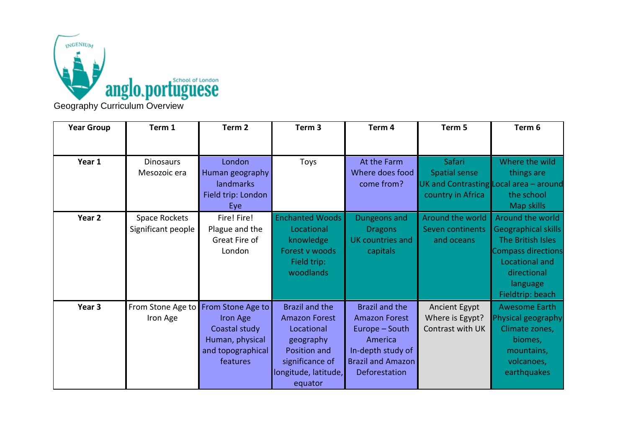

| <b>Year Group</b> | Term 1             | Term <sub>2</sub>                   | Term <sub>3</sub>      | Term 4                   | Term 5               | Term 6                                   |
|-------------------|--------------------|-------------------------------------|------------------------|--------------------------|----------------------|------------------------------------------|
|                   |                    |                                     |                        |                          |                      |                                          |
| Year 1            | <b>Dinosaurs</b>   | London                              | Toys                   | At the Farm              | <b>Safari</b>        | Where the wild                           |
|                   | Mesozoic era       | Human geography                     |                        | Where does food          | <b>Spatial sense</b> | things are                               |
|                   |                    | <b>landmarks</b>                    |                        | come from?               |                      | UK and Contrasting Local area $-$ around |
|                   |                    | Field trip: London                  |                        |                          | country in Africa    | the school                               |
|                   |                    | Eye                                 |                        |                          |                      | Map skills                               |
| Year 2            | Space Rockets      | Fire! Fire!                         | <b>Enchanted Woods</b> | Dungeons and             | Around the world     | Around the world                         |
|                   | Significant people | Plague and the                      | Locational             | <b>Dragons</b>           | Seven continents     | Geographical skills                      |
|                   |                    | Great Fire of                       | knowledge              | UK countries and         | and oceans           | The British Isles                        |
|                   |                    | London                              | Forest v woods         | capitals                 |                      | <b>Compass directions</b>                |
|                   |                    |                                     | Field trip:            |                          |                      | Locational and                           |
|                   |                    |                                     | woodlands              |                          |                      | directional                              |
|                   |                    |                                     |                        |                          |                      | language                                 |
|                   |                    |                                     |                        |                          |                      | Fieldtrip: beach                         |
| Year 3            |                    | From Stone Age to From Stone Age to | <b>Brazil and the</b>  | <b>Brazil and the</b>    | Ancient Egypt        | <b>Awesome Earth</b>                     |
|                   | Iron Age           | Iron Age                            | <b>Amazon Forest</b>   | <b>Amazon Forest</b>     | Where is Egypt?      | Physical geography                       |
|                   |                    | Coastal study                       | Locational             | Europe - South           | Contrast with UK     | Climate zones,                           |
|                   |                    | Human, physical                     | geography              | America                  |                      | biomes,                                  |
|                   |                    | and topographical                   | Position and           | In-depth study of        |                      | mountains,                               |
|                   |                    | features                            | significance of        | <b>Brazil and Amazon</b> |                      | volcanoes,                               |
|                   |                    |                                     | longitude, latitude,   | Deforestation            |                      | earthquakes                              |
|                   |                    |                                     | equator                |                          |                      |                                          |